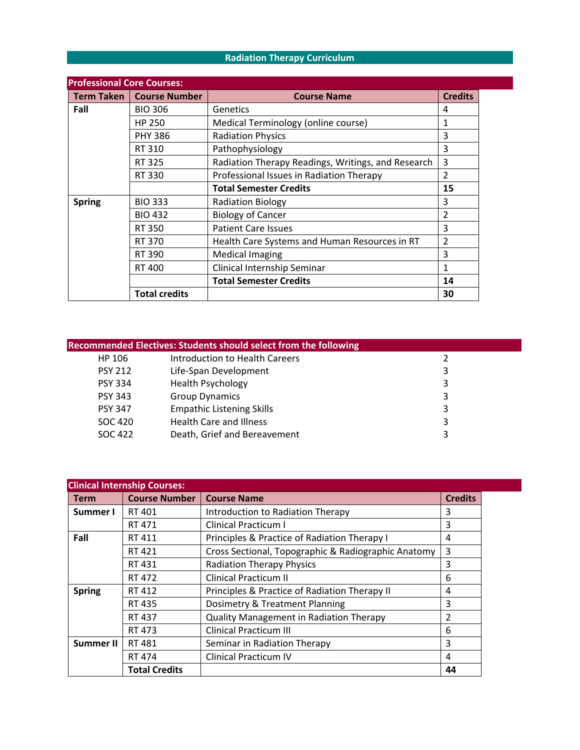# **Radiation Therapy Curriculum**

| <b>Professional Core Courses:</b> |                            |                                                    |                         |  |  |  |
|-----------------------------------|----------------------------|----------------------------------------------------|-------------------------|--|--|--|
|                                   | Term Taken   Course Number | <b>Course Name</b>                                 | <b>Credits</b>          |  |  |  |
| Fall                              | <b>BIO 306</b>             | Genetics                                           | 4                       |  |  |  |
|                                   | <b>HP 250</b>              | Medical Terminology (online course)                | 1                       |  |  |  |
|                                   | <b>PHY 386</b>             | <b>Radiation Physics</b>                           | 3                       |  |  |  |
|                                   | RT 310                     | Pathophysiology                                    | 3                       |  |  |  |
|                                   | RT 325                     | Radiation Therapy Readings, Writings, and Research | $\overline{3}$          |  |  |  |
|                                   | RT 330                     | Professional Issues in Radiation Therapy           | $\overline{\mathbf{c}}$ |  |  |  |
|                                   |                            | <b>Total Semester Credits</b>                      | 15                      |  |  |  |
| <b>Spring</b>                     | <b>BIO 333</b>             | <b>Radiation Biology</b>                           | 3                       |  |  |  |
|                                   | <b>BIO 432</b>             | <b>Biology of Cancer</b>                           | $\overline{2}$          |  |  |  |
|                                   | RT 350                     | <b>Patient Care Issues</b>                         | 3                       |  |  |  |
|                                   | RT 370                     | Health Care Systems and Human Resources in RT      | $\mathcal{P}$           |  |  |  |
|                                   | RT 390                     | <b>Medical Imaging</b>                             | 3                       |  |  |  |
|                                   | RT 400                     | Clinical Internship Seminar                        | 1                       |  |  |  |
|                                   |                            | <b>Total Semester Credits</b>                      | 14                      |  |  |  |
|                                   | <b>Total credits</b>       |                                                    | 30                      |  |  |  |

|                | <b>Recommended Electives: Students should select from the following</b> |   |
|----------------|-------------------------------------------------------------------------|---|
| HP 106         | Introduction to Health Careers                                          |   |
| <b>PSY 212</b> | Life-Span Development                                                   | 3 |
| <b>PSY 334</b> | <b>Health Psychology</b>                                                | 3 |
| <b>PSY 343</b> | <b>Group Dynamics</b>                                                   | 3 |
| <b>PSY 347</b> | <b>Empathic Listening Skills</b>                                        | 3 |
| SOC 420        | <b>Health Care and Illness</b>                                          | 3 |
| SOC 422        | Death, Grief and Bereavement                                            | 3 |
|                |                                                                         |   |

| <b>Clinical Internship Courses:</b> |                      |                                                     |                |  |  |
|-------------------------------------|----------------------|-----------------------------------------------------|----------------|--|--|
| <b>Term</b>                         | <b>Course Number</b> | <b>Course Name</b>                                  | <b>Credits</b> |  |  |
| Summer I                            | RT 401               | Introduction to Radiation Therapy                   | 3              |  |  |
|                                     | RT 471               | <b>Clinical Practicum I</b>                         | 3              |  |  |
| Fall                                | RT 411               | Principles & Practice of Radiation Therapy I        | 4              |  |  |
|                                     | RT 421               | Cross Sectional, Topographic & Radiographic Anatomy | 3              |  |  |
|                                     | RT431                | <b>Radiation Therapy Physics</b>                    | 3              |  |  |
|                                     | RT 472               | <b>Clinical Practicum II</b>                        | 6              |  |  |
| <b>Spring</b>                       | RT 412               | Principles & Practice of Radiation Therapy II       | 4              |  |  |
|                                     | RT 435               | Dosimetry & Treatment Planning                      | 3              |  |  |
|                                     | RT 437               | Quality Management in Radiation Therapy             | 2              |  |  |
|                                     | RT 473               | <b>Clinical Practicum III</b>                       | 6              |  |  |
| <b>Summer II</b>                    | RT 481               | Seminar in Radiation Therapy                        | 3              |  |  |
|                                     | RT 474               | <b>Clinical Practicum IV</b>                        | 4              |  |  |
|                                     | <b>Total Credits</b> |                                                     | 44             |  |  |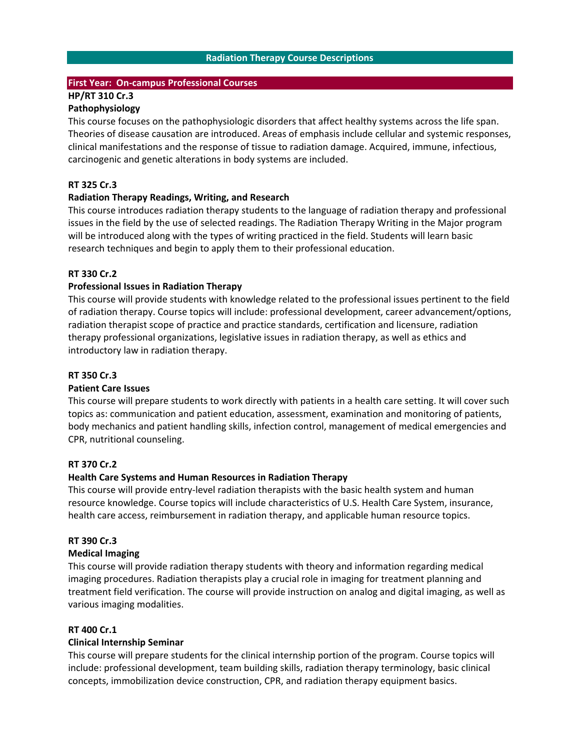#### **Radiation Therapy Course Descriptions**

#### **First Year: On‐campus Professional Courses**

# **HP/RT 310 Cr.3**

# **Pathophysiology**

This course focuses on the pathophysiologic disorders that affect healthy systems across the life span. Theories of disease causation are introduced. Areas of emphasis include cellular and systemic responses, clinical manifestations and the response of tissue to radiation damage. Acquired, immune, infectious, carcinogenic and genetic alterations in body systems are included.

#### **RT 325 Cr.3**

#### **Radiation Therapy Readings, Writing, and Research**

This course introduces radiation therapy students to the language of radiation therapy and professional issues in the field by the use of selected readings. The Radiation Therapy Writing in the Major program will be introduced along with the types of writing practiced in the field. Students will learn basic research techniques and begin to apply them to their professional education.

#### **RT 330 Cr.2**

#### **Professional Issues in Radiation Therapy**

This course will provide students with knowledge related to the professional issues pertinent to the field of radiation therapy. Course topics will include: professional development, career advancement/options, radiation therapist scope of practice and practice standards, certification and licensure, radiation therapy professional organizations, legislative issues in radiation therapy, as well as ethics and introductory law in radiation therapy.

#### **RT 350 Cr.3**

#### **Patient Care Issues**

This course will prepare students to work directly with patients in a health care setting. It will cover such topics as: communication and patient education, assessment, examination and monitoring of patients, body mechanics and patient handling skills, infection control, management of medical emergencies and CPR, nutritional counseling.

#### **RT 370 Cr.2**

#### **Health Care Systems and Human Resources in Radiation Therapy**

This course will provide entry-level radiation therapists with the basic health system and human resource knowledge. Course topics will include characteristics of U.S. Health Care System, insurance, health care access, reimbursement in radiation therapy, and applicable human resource topics.

#### **RT 390 Cr.3**

#### **Medical Imaging**

This course will provide radiation therapy students with theory and information regarding medical imaging procedures. Radiation therapists play a crucial role in imaging for treatment planning and treatment field verification. The course will provide instruction on analog and digital imaging, as well as various imaging modalities.

#### **RT 400 Cr.1**

#### **Clinical Internship Seminar**

This course will prepare students for the clinical internship portion of the program. Course topics will include: professional development, team building skills, radiation therapy terminology, basic clinical concepts, immobilization device construction, CPR, and radiation therapy equipment basics.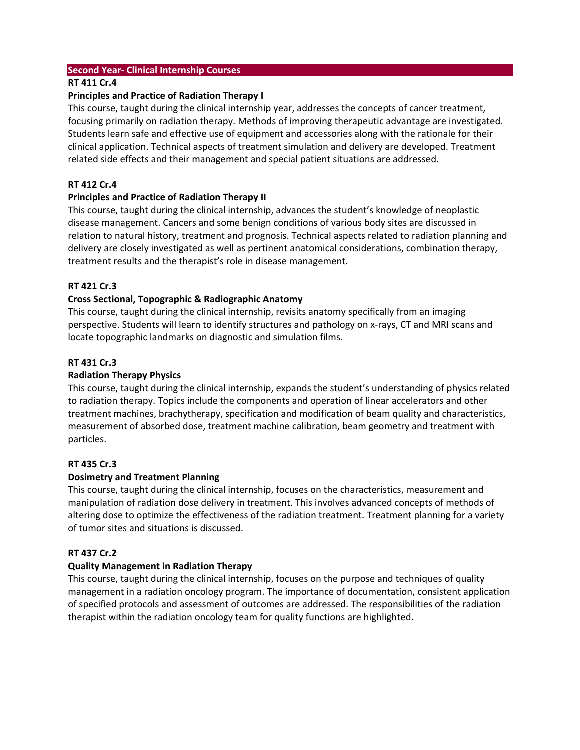#### **Second Year‐ Clinical Internship Courses**

## **RT 411 Cr.4**

#### **Principles and Practice of Radiation Therapy I**

This course, taught during the clinical internship year, addresses the concepts of cancer treatment, focusing primarily on radiation therapy. Methods of improving therapeutic advantage are investigated. Students learn safe and effective use of equipment and accessories along with the rationale for their clinical application. Technical aspects of treatment simulation and delivery are developed. Treatment related side effects and their management and special patient situations are addressed.

## **RT 412 Cr.4**

## **Principles and Practice of Radiation Therapy II**

This course, taught during the clinical internship, advances the student's knowledge of neoplastic disease management. Cancers and some benign conditions of various body sites are discussed in relation to natural history, treatment and prognosis. Technical aspects related to radiation planning and delivery are closely investigated as well as pertinent anatomical considerations, combination therapy, treatment results and the therapist's role in disease management.

## **RT 421 Cr.3**

## **Cross Sectional, Topographic & Radiographic Anatomy**

This course, taught during the clinical internship, revisits anatomy specifically from an imaging perspective. Students will learn to identify structures and pathology on x‐rays, CT and MRI scans and locate topographic landmarks on diagnostic and simulation films.

#### **RT 431 Cr.3**

#### **Radiation Therapy Physics**

This course, taught during the clinical internship, expands the student's understanding of physics related to radiation therapy. Topics include the components and operation of linear accelerators and other treatment machines, brachytherapy, specification and modification of beam quality and characteristics, measurement of absorbed dose, treatment machine calibration, beam geometry and treatment with particles.

#### **RT 435 Cr.3**

#### **Dosimetry and Treatment Planning**

This course, taught during the clinical internship, focuses on the characteristics, measurement and manipulation of radiation dose delivery in treatment. This involves advanced concepts of methods of altering dose to optimize the effectiveness of the radiation treatment. Treatment planning for a variety of tumor sites and situations is discussed.

## **RT 437 Cr.2**

## **Quality Management in Radiation Therapy**

This course, taught during the clinical internship, focuses on the purpose and techniques of quality management in a radiation oncology program. The importance of documentation, consistent application of specified protocols and assessment of outcomes are addressed. The responsibilities of the radiation therapist within the radiation oncology team for quality functions are highlighted.